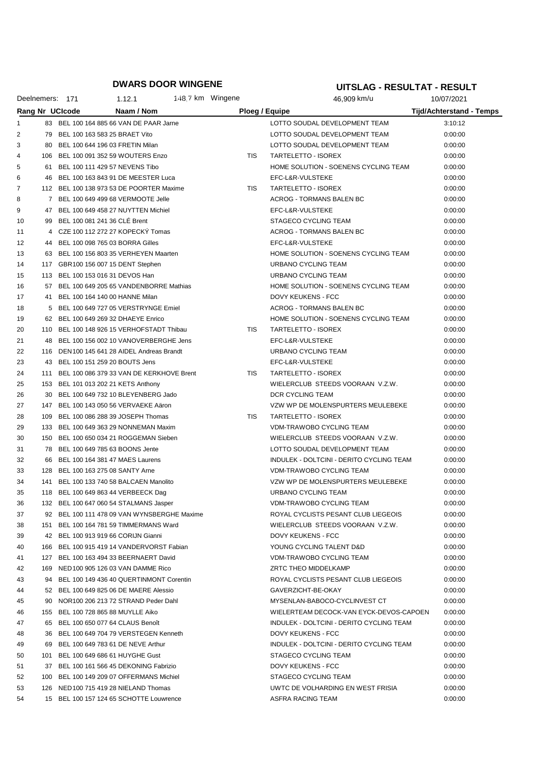|                | Deelnemers: 171 |                        | 1.12.1                                       | 148.7 km Wingene |            | 46,909 km/u                              | 10/07/2021                      |
|----------------|-----------------|------------------------|----------------------------------------------|------------------|------------|------------------------------------------|---------------------------------|
|                |                 | <b>Rang Nr UCIcode</b> | Naam / Nom                                   |                  |            | Ploeg / Equipe                           | <b>Tijd/Achterstand - Temps</b> |
| 1              |                 |                        | 83 BEL 100 164 885 66 VAN DE PAAR Jarne      |                  |            | LOTTO SOUDAL DEVELOPMENT TEAM            | 3:10:12                         |
| $\overline{2}$ |                 |                        | 79 BEL 100 163 583 25 BRAET Vito             |                  |            | LOTTO SOUDAL DEVELOPMENT TEAM            | 0:00:00                         |
| 3              | 80              |                        | BEL 100 644 196 03 FRETIN Milan              |                  |            | LOTTO SOUDAL DEVELOPMENT TEAM            | 0:00:00                         |
| 4              |                 |                        | 106 BEL 100 091 352 59 WOUTERS Enzo          |                  | TIS        | TARTELETTO - ISOREX                      | 0:00:00                         |
| 5              | 61              |                        | BEL 100 111 429 57 NEVENS Tibo               |                  |            | HOME SOLUTION - SOENENS CYCLING TEAM     | 0:00:00                         |
| 6              | 46              |                        | BEL 100 163 843 91 DE MEESTER Luca           |                  |            | EFC-L&R-VULSTEKE                         | 0:00:00                         |
| 7              |                 |                        | 112 BEL 100 138 973 53 DE POORTER Maxime     |                  | TIS        | TARTELETTO - ISOREX                      | 0:00:00                         |
| 8              |                 |                        | 7 BEL 100 649 499 68 VERMOOTE Jelle          |                  |            | ACROG - TORMANS BALEN BC                 | 0:00:00                         |
| 9              | 47              |                        | BEL 100 649 458 27 NUYTTEN Michiel           |                  |            | EFC-L&R-VULSTEKE                         | 0:00:00                         |
| 10             |                 |                        | 99 BEL 100 081 241 36 CLE Brent              |                  |            | STAGECO CYCLING TEAM                     | 0:00:00                         |
| 11             |                 |                        | 4 CZE 100 112 272 27 KOPECKY Tomas           |                  |            | ACROG - TORMANS BALEN BC                 | 0:00:00                         |
| 12             |                 |                        | 44 BEL 100 098 765 03 BORRA Gilles           |                  |            | EFC-L&R-VULSTEKE                         | 0:00:00                         |
| 13             |                 |                        | 63 BEL 100 156 803 35 VERHEYEN Maarten       |                  |            | HOME SOLUTION - SOENENS CYCLING TEAM     | 0:00:00                         |
| 14             |                 |                        | 117 GBR100 156 007 15 DENT Stephen           |                  |            | URBANO CYCLING TEAM                      | 0:00:00                         |
| 15             |                 |                        | 113 BEL 100 153 016 31 DEVOS Han             |                  |            | URBANO CYCLING TEAM                      | 0:00:00                         |
| 16             |                 |                        | 57 BEL 100 649 205 65 VANDENBORRE Mathias    |                  |            | HOME SOLUTION - SOENENS CYCLING TEAM     | 0:00:00                         |
| 17             | 41              |                        | BEL 100 164 140 00 HANNE Milan               |                  |            | DOVY KEUKENS - FCC                       | 0:00:00                         |
| 18             |                 |                        | 5 BEL 100 649 727 05 VERSTRYNGE Emiel        |                  |            | <b>ACROG - TORMANS BALEN BC</b>          | 0:00:00                         |
| 19             |                 |                        | 62 BEL 100 649 269 32 DHAEYE Enrico          |                  |            | HOME SOLUTION - SOENENS CYCLING TEAM     | 0:00:00                         |
| 20             |                 |                        | 110 BEL 100 148 926 15 VERHOFSTADT Thibau    |                  | TIS        | TARTELETTO - ISOREX                      | 0:00:00                         |
| 21             |                 |                        | 48 BEL 100 156 002 10 VANOVERBERGHE Jens     |                  |            | EFC-L&R-VULSTEKE                         | 0:00:00                         |
| 22             |                 |                        | 116 DEN 100 145 641 28 AIDEL Andreas Brandt  |                  |            | URBANO CYCLING TEAM                      | 0:00:00                         |
| 23             |                 |                        | 43 BEL 100 151 259 20 BOUTS Jens             |                  |            | EFC-L&R-VULSTEKE                         | 0:00:00                         |
| 24             |                 |                        | 111 BEL 100 086 379 33 VAN DE KERKHOVE Brent |                  | TIS        | TARTELETTO - ISOREX                      | 0:00:00                         |
| 25             |                 |                        | 153 BEL 101 013 202 21 KETS Anthony          |                  |            | WIELERCLUB STEEDS VOORAAN V.Z.W.         | 0:00:00                         |
| 26             |                 |                        | 30 BEL 100 649 732 10 BLEYENBERG Jado        |                  |            | DCR CYCLING TEAM                         | 0:00:00                         |
| 27             |                 |                        | 147 BEL 100 143 050 56 VERVAEKE Aäron        |                  |            | VZW WP DE MOLENSPURTERS MEULEBEKE        | 0:00:00                         |
| 28             |                 |                        | 109 BEL 100 086 288 39 JOSEPH Thomas         |                  | <b>TIS</b> | TARTELETTO - ISOREX                      | 0:00:00                         |
| 29             |                 |                        | 133 BEL 100 649 363 29 NONNEMAN Maxim        |                  |            | VDM-TRAWOBO CYCLING TEAM                 | 0:00:00                         |
| 30             |                 |                        | 150 BEL 100 650 034 21 ROGGEMAN Sieben       |                  |            | WIELERCLUB STEEDS VOORAAN V.Z.W.         | 0:00:00                         |
| 31             |                 |                        | 78 BEL 100 649 785 63 BOONS Jente            |                  |            | LOTTO SOUDAL DEVELOPMENT TEAM            | 0:00:00                         |
| 32             | 66              |                        | BEL 100 164 381 47 MAES Laurens              |                  |            | INDULEK - DOLTCINI - DERITO CYCLING TEAM | 0:00:00                         |
| 33             |                 |                        | 128 BEL 100 163 275 08 SANTY Arne            |                  |            | <b>VDM-TRAWOBO CYCLING TEAM</b>          | 0:00:00                         |
| 34             | 141             |                        | BEL 100 133 740 58 BALCAEN Manolito          |                  |            | VZW WP DE MOLENSPURTERS MEULEBEKE        | 0:00:00                         |
| 35             |                 |                        | 118 BEL 100 649 863 44 VERBEECK Dag          |                  |            | URBANO CYCLING TEAM                      | 0:00:00                         |
| 36             |                 |                        | 132 BEL 100 647 060 54 STALMANS Jasper       |                  |            | VDM-TRAWOBO CYCLING TEAM                 | 0:00:00                         |
| 37             |                 |                        | 92 BEL 100 111 478 09 VAN WYNSBERGHE Maxime  |                  |            | ROYAL CYCLISTS PESANT CLUB LIEGEOIS      | 0:00:00                         |
| 38             |                 |                        | 151 BEL 100 164 781 59 TIMMERMANS Ward       |                  |            | WIELERCLUB STEEDS VOORAAN V.Z.W.         | 0:00:00                         |
| 39             |                 |                        | 42 BEL 100 913 919 66 CORIJN Gianni          |                  |            | DOVY KEUKENS - FCC                       | 0:00:00                         |
| 40             |                 |                        | 166 BEL 100 915 419 14 VANDERVORST Fabian    |                  |            | YOUNG CYCLING TALENT D&D                 | 0:00:00                         |
| 41             |                 |                        | 127 BEL 100 163 494 33 BEERNAERT David       |                  |            | <b>VDM-TRAWOBO CYCLING TEAM</b>          | 0:00:00                         |
| 42             |                 |                        | 169 NED 100 905 126 03 VAN DAMME Rico        |                  |            | ZRTC THEO MIDDELKAMP                     | 0:00:00                         |
| 43             | 94              |                        | BEL 100 149 436 40 QUERTINMONT Corentin      |                  |            | ROYAL CYCLISTS PESANT CLUB LIEGEOIS      | 0:00:00                         |
| 44             |                 |                        | 52 BEL 100 649 825 06 DE MAERE Alessio       |                  |            | GAVERZICHT-BE-OKAY                       | 0:00:00                         |
| 45             | 90              |                        | NOR100 206 213 72 STRAND Peder Dahl          |                  |            | MYSENLAN-BABOCO-CYCLINVEST CT            | 0:00:00                         |
| 46             |                 |                        | 155 BEL 100 728 865 88 MUYLLE Aiko           |                  |            | WIELERTEAM DECOCK-VAN EYCK-DEVOS-CAPOEN  | 0:00:00                         |
| 47             | 65              |                        | BEL 100 650 077 64 CLAUS Benoît              |                  |            | INDULEK - DOLTCINI - DERITO CYCLING TEAM | 0:00:00                         |
| 48             | 36              |                        | BEL 100 649 704 79 VERSTEGEN Kenneth         |                  |            | DOVY KEUKENS - FCC                       | 0:00:00                         |
| 49             | 69              |                        | BEL 100 649 783 61 DE NEVE Arthur            |                  |            | INDULEK - DOLTCINI - DERITO CYCLING TEAM | 0:00:00                         |
| 50             | 101             |                        | BEL 100 649 686 61 HUYGHE Gust               |                  |            | STAGECO CYCLING TEAM                     | 0:00:00                         |
| 51             |                 |                        | 37 BEL 100 161 566 45 DEKONING Fabrizio      |                  |            | DOVY KEUKENS - FCC                       | 0:00:00                         |
| 52             |                 |                        | 100 BEL 100 149 209 07 OFFERMANS Michiel     |                  |            | STAGECO CYCLING TEAM                     | 0:00:00                         |
| 53             |                 |                        | 126 NED 100 715 419 28 NIELAND Thomas        |                  |            | UWTC DE VOLHARDING EN WEST FRISIA        | 0:00:00                         |
| 54             |                 |                        | 15 BEL 100 157 124 65 SCHOTTE Louwrence      |                  |            | ASFRA RACING TEAM                        | 0:00:00                         |
|                |                 |                        |                                              |                  |            |                                          |                                 |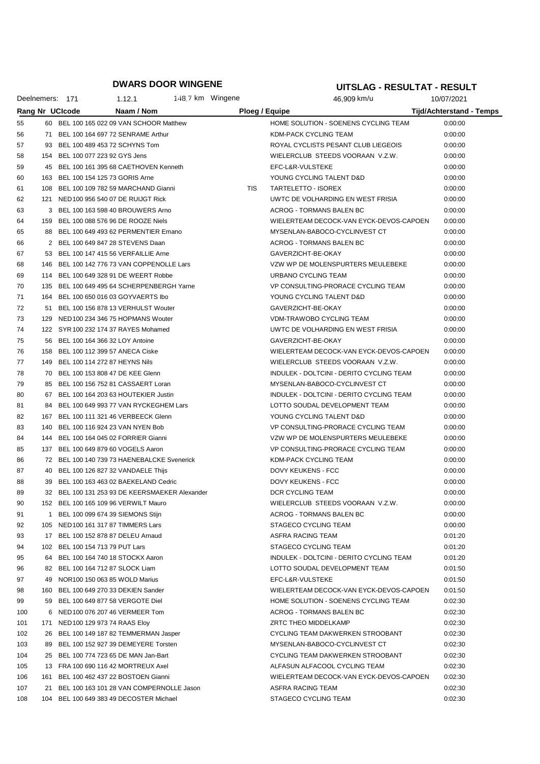|     |     | Deelnemers: 171 | 1.12.1                                         | 148.7 km Wingene |                | 46,909 km/u                              | 10/07/2021               |
|-----|-----|-----------------|------------------------------------------------|------------------|----------------|------------------------------------------|--------------------------|
|     |     | Rang Nr UCIcode | Naam / Nom                                     |                  | Ploeg / Equipe |                                          | Tijd/Achterstand - Temps |
| 55  |     |                 | 60 BEL 100 165 022 09 VAN SCHOOR Matthew       |                  |                | HOME SOLUTION - SOENENS CYCLING TEAM     | 0:00:00                  |
| 56  |     |                 | 71 BEL 100 164 697 72 SENRAME Arthur           |                  |                | KDM-PACK CYCLING TEAM                    | 0:00:00                  |
| 57  |     |                 | 93 BEL 100 489 453 72 SCHYNS Tom               |                  |                | ROYAL CYCLISTS PESANT CLUB LIEGEOIS      | 0:00:00                  |
| 58  |     |                 | 154 BEL 100 077 223 92 GYS Jens                |                  |                | WIELERCLUB STEEDS VOORAAN V.Z.W.         | 0:00:00                  |
| 59  | 45  |                 | BEL 100 161 395 68 CAETHOVEN Kenneth           |                  |                | EFC-L&R-VULSTEKE                         | 0:00:00                  |
| 60  |     |                 | 163 BEL 100 154 125 73 GORIS Arne              |                  |                | YOUNG CYCLING TALENT D&D                 | 0:00:00                  |
| 61  |     |                 | 108 BEL 100 109 782 59 MARCHAND Gianni         |                  | TIS            | TARTELETTO - ISOREX                      | 0:00:00                  |
| 62  |     |                 | 121 NED 100 956 540 07 DE RUIJGT Rick          |                  |                | UWTC DE VOLHARDING EN WEST FRISIA        | 0:00:00                  |
| 63  |     |                 | 3 BEL 100 163 598 40 BROUWERS Arno             |                  |                | <b>ACROG - TORMANS BALEN BC</b>          | 0:00:00                  |
| 64  |     |                 | 159 BEL 100 088 576 96 DE ROOZE Niels          |                  |                | WIELERTEAM DECOCK-VAN EYCK-DEVOS-CAPOEN  | 0:00:00                  |
| 65  | 88  |                 | BEL 100 649 493 62 PERMENTIER Emano            |                  |                | MYSENLAN-BABOCO-CYCLINVEST CT            | 0:00:00                  |
| 66  |     |                 | 2 BEL 100 649 847 28 STEVENS Daan              |                  |                | ACROG - TORMANS BALEN BC                 | 0:00:00                  |
| 67  |     |                 | 53 BEL 100 147 415 56 VERFAILLIE Arne          |                  |                | GAVERZICHT-BE-OKAY                       | 0:00:00                  |
| 68  |     |                 | 146 BEL 100 142 776 73 VAN COPPENOLLE Lars     |                  |                | VZW WP DE MOLENSPURTERS MEULEBEKE        | 0:00:00                  |
| 69  |     |                 | 114 BEL 100 649 328 91 DE WEERT Robbe          |                  |                | URBANO CYCLING TEAM                      | 0:00:00                  |
| 70  |     |                 | 135 BEL 100 649 495 64 SCHERPENBERGH Yarne     |                  |                | VP CONSULTING-PRORACE CYCLING TEAM       | 0:00:00                  |
| 71  |     |                 | 164 BEL 100 650 016 03 GOYVAERTS Ibo           |                  |                | YOUNG CYCLING TALENT D&D                 | 0:00:00                  |
| 72  |     |                 | 51 BEL 100 156 878 13 VERHULST Wouter          |                  |                | GAVERZICHT-BE-OKAY                       | 0:00:00                  |
| 73  |     |                 | 129 NED 100 234 346 75 HOPMANS Wouter          |                  |                | <b>VDM-TRAWOBO CYCLING TEAM</b>          | 0:00:00                  |
| 74  |     |                 | 122 SYR 100 232 174 37 RAYES Mohamed           |                  |                | UWTC DE VOLHARDING EN WEST FRISIA        | 0:00:00                  |
| 75  | 56  |                 | BEL 100 164 366 32 LOY Antoine                 |                  |                | GAVERZICHT-BE-OKAY                       | 0:00:00                  |
| 76  |     |                 | 158 BEL 100 112 399 57 ANECA Ciske             |                  |                | WIELERTEAM DECOCK-VAN EYCK-DEVOS-CAPOEN  | 0:00:00                  |
| 77  | 149 |                 | BEL 100 114 272 87 HEYNS Nils                  |                  |                | WIELERCLUB STEEDS VOORAAN V.Z.W.         | 0:00:00                  |
| 78  |     |                 | 70 BEL 100 153 808 47 DE KEE Glenn             |                  |                | INDULEK - DOLTCINI - DERITO CYCLING TEAM | 0:00:00                  |
| 79  | 85  |                 | BEL 100 156 752 81 CASSAERT Loran              |                  |                | MYSENLAN-BABOCO-CYCLINVEST CT            | 0:00:00                  |
| 80  | 67  |                 | BEL 100 164 203 63 HOUTEKIER Justin            |                  |                | INDULEK - DOLTCINI - DERITO CYCLING TEAM | 0:00:00                  |
| 81  | 84  |                 | BEL 100 649 993 77 VAN RYCKEGHEM Lars          |                  |                | LOTTO SOUDAL DEVELOPMENT TEAM            | 0:00:00                  |
| 82  |     |                 | 167 BEL 100 111 321 46 VERBEECK Glenn          |                  |                | YOUNG CYCLING TALENT D&D                 | 0:00:00                  |
| 83  | 140 |                 | BEL 100 116 924 23 VAN NYEN Bob                |                  |                | VP CONSULTING-PRORACE CYCLING TEAM       | 0:00:00                  |
| 84  |     |                 | 144 BEL 100 164 045 02 FORRIER Gianni          |                  |                | VZW WP DE MOLENSPURTERS MEULEBEKE        | 0:00:00                  |
| 85  |     |                 | 137 BEL 100 649 879 60 VOGELS Aaron            |                  |                | VP CONSULTING-PRORACE CYCLING TEAM       | 0:00:00                  |
| 86  |     |                 | 72 BEL 100 140 739 73 HAENEBALCKE Svenerick    |                  |                | KDM-PACK CYCLING TEAM                    | 0:00:00                  |
| 87  | 40  |                 | BEL 100 126 827 32 VANDAELE Thijs              |                  |                | DOVY KEUKENS - FCC                       | 0:00:00                  |
| 88  | 39  |                 | BEL 100 163 463 02 BAEKELAND Cedric            |                  |                | DOVY KEUKENS - FCC                       | 0:00:00                  |
| 89  |     |                 | 32 BEL 100 131 253 93 DE KEERSMAEKER Alexander |                  |                | DCR CYCLING TEAM                         | 0:00:00                  |
| 90  |     |                 | 152 BEL 100 165 109 96 VERWILT Mauro           |                  |                | WIELERCLUB STEEDS VOORAAN V.Z.W.         | 0:00:00                  |
| 91  | 1.  |                 | BEL 100 099 674 39 SIEMONS Stijn               |                  |                | ACROG - TORMANS BALEN BC                 | 0:00:00                  |
| 92  |     |                 | 105 NED 100 161 317 87 TIMMERS Lars            |                  |                | STAGECO CYCLING TEAM                     | 0:00:00                  |
| 93  |     |                 | 17 BEL 100 152 878 87 DELEU Arnaud             |                  |                | ASFRA RACING TEAM                        | 0:01:20                  |
| 94  |     |                 | 102 BEL 100 154 713 79 PUT Lars                |                  |                | STAGECO CYCLING TEAM                     | 0:01:20                  |
| 95  |     |                 | 64 BEL 100 164 740 18 STOCKX Aaron             |                  |                | INDULEK - DOLTCINI - DERITO CYCLING TEAM | 0:01:20                  |
| 96  |     |                 | 82 BEL 100 164 712 87 SLOCK Liam               |                  |                | LOTTO SOUDAL DEVELOPMENT TEAM            | 0:01:50                  |
| 97  |     |                 | 49 NOR100 150 063 85 WOLD Marius               |                  |                | EFC-L&R-VULSTEKE                         | 0:01:50                  |
| 98  |     |                 | 160 BEL 100 649 270 33 DEKIEN Sander           |                  |                | WIELERTEAM DECOCK-VAN EYCK-DEVOS-CAPOEN  | 0:01:50                  |
| 99  |     |                 | 59 BEL 100 649 877 58 VERGOTE Diel             |                  |                | HOME SOLUTION - SOENENS CYCLING TEAM     | 0:02:30                  |
| 100 |     |                 | 6 NED 100 076 207 46 VERMEER Tom               |                  |                | ACROG - TORMANS BALEN BC                 | 0:02:30                  |
| 101 |     |                 | 171 NED 100 129 973 74 RAAS Eloy               |                  |                | ZRTC THEO MIDDELKAMP                     | 0:02:30                  |
| 102 |     |                 | 26 BEL 100 149 187 82 TEMMERMAN Jasper         |                  |                | CYCLING TEAM DAKWERKEN STROOBANT         | 0:02:30                  |
| 103 |     |                 | 89 BEL 100 152 927 39 DEMEYERE Torsten         |                  |                | MYSENLAN-BABOCO-CYCLINVEST CT            | 0:02:30                  |
| 104 |     |                 | 25 BEL 100 774 723 65 DE MAN Jan-Bart          |                  |                | CYCLING TEAM DAKWERKEN STROOBANT         | 0:02:30                  |
| 105 |     |                 | 13 FRA 100 690 116 42 MORTREUX Axel            |                  |                | ALFASUN ALFACOOL CYCLING TEAM            | 0:02:30                  |
| 106 |     |                 | 161 BEL 100 462 437 22 BOSTOEN Gianni          |                  |                | WIELERTEAM DECOCK-VAN EYCK-DEVOS-CAPOEN  | 0:02:30                  |
| 107 | 21  |                 | BEL 100 163 101 28 VAN COMPERNOLLE Jason       |                  |                | ASFRA RACING TEAM                        | 0:02:30                  |
| 108 |     |                 | 104 BEL 100 649 383 49 DECOSTER Michael        |                  |                | STAGECO CYCLING TEAM                     | 0:02:30                  |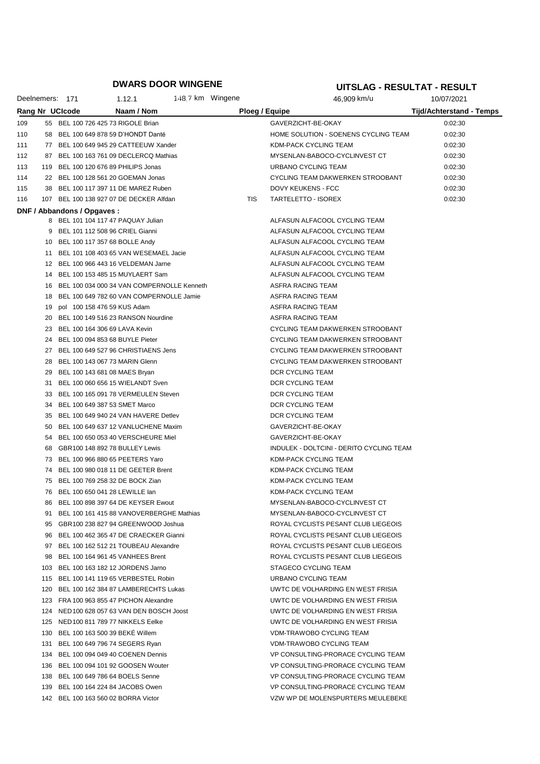|     |    | Deelnemers: 171             | 1.12.1                                      | 148.7 km Wingene |                | 46,909 km/u                              | 10/07/2021                      |
|-----|----|-----------------------------|---------------------------------------------|------------------|----------------|------------------------------------------|---------------------------------|
|     |    | <b>Rang Nr UCIcode</b>      | Naam / Nom                                  |                  | Ploeg / Equipe |                                          | <b>Tijd/Achterstand - Temps</b> |
| 109 |    |                             | 55 BEL 100 726 425 73 RIGOLE Brian          |                  |                | GAVERZICHT-BE-OKAY                       | 0:02:30                         |
| 110 |    |                             | 58 BEL 100 649 878 59 D'HONDT Danté         |                  |                | HOME SOLUTION - SOENENS CYCLING TEAM     | 0:02:30                         |
| 111 |    |                             | 77 BEL 100 649 945 29 CATTEEUW Xander       |                  |                | <b>KDM-PACK CYCLING TEAM</b>             | 0:02:30                         |
| 112 |    |                             | 87 BEL 100 163 761 09 DECLERCQ Mathias      |                  |                | MYSENLAN-BABOCO-CYCLINVEST CT            | 0:02:30                         |
| 113 |    |                             | 119 BEL 100 120 676 89 PHILIPS Jonas        |                  |                | URBANO CYCLING TEAM                      | 0:02:30                         |
| 114 |    |                             | 22 BEL 100 128 561 20 GOEMAN Jonas          |                  |                | CYCLING TEAM DAKWERKEN STROOBANT         | 0:02:30                         |
| 115 | 38 |                             | BEL 100 117 397 11 DE MAREZ Ruben           |                  |                | <b>DOVY KEUKENS - FCC</b>                | 0:02:30                         |
| 116 |    |                             | 107 BEL 100 138 927 07 DE DECKER Alfdan     |                  | TIS            | TARTELETTO - ISOREX                      | 0:02:30                         |
|     |    | DNF / Abbandons / Opgaves : |                                             |                  |                |                                          |                                 |
|     |    |                             | 8 BEL 101 104 117 47 PAQUAY Julian          |                  |                | ALFASUN ALFACOOL CYCLING TEAM            |                                 |
|     | 9  |                             | BEL 101 112 508 96 CRIEL Gianni             |                  |                | ALFASUN ALFACOOL CYCLING TEAM            |                                 |
|     | 10 |                             | BEL 100 117 357 68 BOLLE Andy               |                  |                | ALFASUN ALFACOOL CYCLING TEAM            |                                 |
|     | 11 |                             | BEL 101 108 403 65 VAN WESEMAEL Jacie       |                  |                | ALFASUN ALFACOOL CYCLING TEAM            |                                 |
|     | 12 |                             | BEL 100 966 443 16 VELDEMAN Jarne           |                  |                | ALFASUN ALFACOOL CYCLING TEAM            |                                 |
|     | 14 |                             | BEL 100 153 485 15 MUYLAERT Sam             |                  |                | ALFASUN ALFACOOL CYCLING TEAM            |                                 |
|     | 16 |                             | BEL 100 034 000 34 VAN COMPERNOLLE Kenneth  |                  |                | ASFRA RACING TEAM                        |                                 |
|     | 18 |                             | BEL 100 649 782 60 VAN COMPERNOLLE Jamie    |                  |                | ASFRA RACING TEAM                        |                                 |
|     | 19 |                             | pol 100 158 476 59 KUS Adam                 |                  |                | ASFRA RACING TEAM                        |                                 |
|     | 20 |                             | BEL 100 149 516 23 RANSON Nourdine          |                  |                | ASFRA RACING TEAM                        |                                 |
|     | 23 |                             | BEL 100 164 306 69 LAVA Kevin               |                  |                | CYCLING TEAM DAKWERKEN STROOBANT         |                                 |
|     | 24 |                             | BEL 100 094 853 68 BUYLE Pieter             |                  |                | CYCLING TEAM DAKWERKEN STROOBANT         |                                 |
|     | 27 |                             | BEL 100 649 527 96 CHRISTIAENS Jens         |                  |                | CYCLING TEAM DAKWERKEN STROOBANT         |                                 |
|     | 28 |                             | BEL 100 143 067 73 MARIN Glenn              |                  |                | CYCLING TEAM DAKWERKEN STROOBANT         |                                 |
|     | 29 |                             | BEL 100 143 681 08 MAES Bryan               |                  |                | DCR CYCLING TEAM                         |                                 |
|     | 31 |                             | BEL 100 060 656 15 WIELANDT Sven            |                  |                | DCR CYCLING TEAM                         |                                 |
|     | 33 |                             | BEL 100 165 091 78 VERMEULEN Steven         |                  |                | DCR CYCLING TEAM                         |                                 |
|     | 34 |                             | BEL 100 649 387 53 SMET Marco               |                  |                | DCR CYCLING TEAM                         |                                 |
|     | 35 |                             | BEL 100 649 940 24 VAN HAVERE Detlev        |                  |                | DCR CYCLING TEAM                         |                                 |
|     | 50 |                             | BEL 100 649 637 12 VANLUCHENE Maxim         |                  |                | GAVERZICHT-BE-OKAY                       |                                 |
|     | 54 |                             | BEL 100 650 053 40 VERSCHEURE Miel          |                  |                | GAVERZICHT-BE-OKAY                       |                                 |
|     | 68 |                             | GBR100 148 892 78 BULLEY Lewis              |                  |                | INDULEK - DOLTCINI - DERITO CYCLING TEAM |                                 |
|     | 73 |                             | BEL 100 966 880 65 PEETERS Yaro             |                  |                | KDM-PACK CYCLING TEAM                    |                                 |
|     | 74 |                             | BEL 100 980 018 11 DE GEETER Brent          |                  |                | <b>KDM-PACK CYCLING TEAM</b>             |                                 |
|     | 75 |                             | BEL 100 769 258 32 DE BOCK Zian             |                  |                | <b>KDM-PACK CYCLING TEAM</b>             |                                 |
|     |    |                             | 76 BEL 100 650 041 28 LEWILLE Ian           |                  |                | KDM-PACK CYCLING TEAM                    |                                 |
|     | 86 |                             | BEL 100 898 397 64 DE KEYSER Ewout          |                  |                | MYSENLAN-BABOCO-CYCLINVEST CT            |                                 |
|     |    |                             | 91 BEL 100 161 415 88 VANOVERBERGHE Mathias |                  |                | MYSENLAN-BABOCO-CYCLINVEST CT            |                                 |
|     |    |                             | 95 GBR100 238 827 94 GREENWOOD Joshua       |                  |                | ROYAL CYCLISTS PESANT CLUB LIEGEOIS      |                                 |
|     |    |                             | 96 BEL 100 462 365 47 DE CRAECKER Gianni    |                  |                | ROYAL CYCLISTS PESANT CLUB LIEGEOIS      |                                 |
|     |    |                             | 97 BEL 100 162 512 21 TOUBEAU Alexandre     |                  |                | ROYAL CYCLISTS PESANT CLUB LIEGEOIS      |                                 |
|     |    |                             | 98 BEL 100 164 961 45 VANHEES Brent         |                  |                | ROYAL CYCLISTS PESANT CLUB LIEGEOIS      |                                 |
|     |    |                             | 103 BEL 100 163 182 12 JORDENS Jarno        |                  |                | <b>STAGECO CYCLING TEAM</b>              |                                 |
|     |    |                             | 115 BEL 100 141 119 65 VERBESTEL Robin      |                  |                | URBANO CYCLING TEAM                      |                                 |
|     |    |                             | 120 BEL 100 162 384 87 LAMBERECHTS Lukas    |                  |                | UWTC DE VOLHARDING EN WEST FRISIA        |                                 |
|     |    |                             | 123 FRA 100 963 855 47 PICHON Alexandre     |                  |                | UWTC DE VOLHARDING EN WEST FRISIA        |                                 |
|     |    |                             | 124 NED 100 628 057 63 VAN DEN BOSCH Joost  |                  |                | UWTC DE VOLHARDING EN WEST FRISIA        |                                 |
|     |    |                             | 125 NED 100 811 789 77 NIKKELS Eelke        |                  |                | UWTC DE VOLHARDING EN WEST FRISIA        |                                 |
|     |    |                             | 130 BEL 100 163 500 39 BEKE Willem          |                  |                | VDM-TRAWOBO CYCLING TEAM                 |                                 |
|     |    |                             | 131 BEL 100 649 796 74 SEGERS Ryan          |                  |                | VDM-TRAWOBO CYCLING TEAM                 |                                 |
|     |    |                             | 134 BEL 100 094 049 40 COENEN Dennis        |                  |                | VP CONSULTING-PRORACE CYCLING TEAM       |                                 |
|     |    |                             | 136 BEL 100 094 101 92 GOOSEN Wouter        |                  |                | VP CONSULTING-PRORACE CYCLING TEAM       |                                 |
|     |    |                             | 138 BEL 100 649 786 64 BOELS Senne          |                  |                | VP CONSULTING-PRORACE CYCLING TEAM       |                                 |
|     |    |                             | 139 BEL 100 164 224 84 JACOBS Owen          |                  |                | VP CONSULTING-PRORACE CYCLING TEAM       |                                 |
|     |    |                             | 142 BEL 100 163 560 02 BORRA Victor         |                  |                | VZW WP DE MOLENSPURTERS MEULEBEKE        |                                 |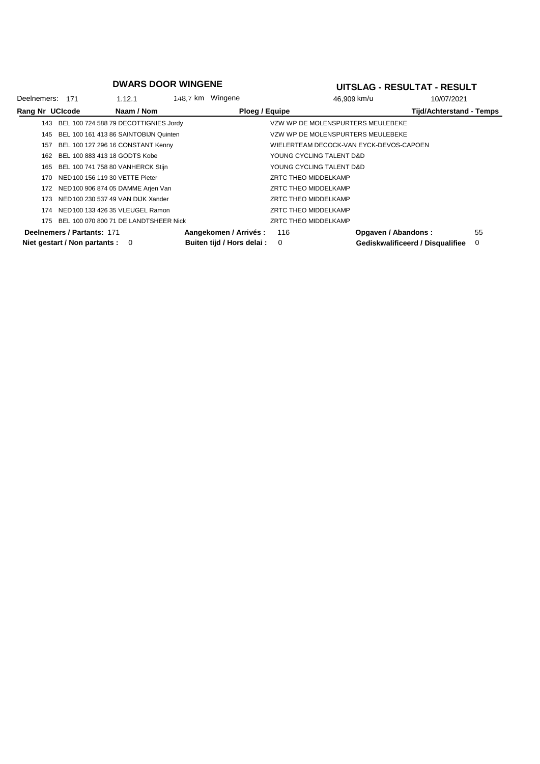| Deelnemers: 171 |                                   | 1.12.1                                | 148.7 km Wingene |                            |                                         | 46.909 km/u         | 10/07/2021                       |          |
|-----------------|-----------------------------------|---------------------------------------|------------------|----------------------------|-----------------------------------------|---------------------|----------------------------------|----------|
| Rang Nr UCIcode |                                   | Naam / Nom                            |                  | Ploeg / Equipe             |                                         |                     | <b>Tijd/Achterstand - Temps</b>  |          |
| 143             |                                   | BEL 100 724 588 79 DECOTTIGNIES Jordy |                  |                            | VZW WP DE MOLENSPURTERS MEULEBEKE       |                     |                                  |          |
| 145             |                                   | BEL 100 161 413 86 SAINTOBIJN Quinten |                  |                            | VZW WP DE MOLENSPURTERS MEULEBEKE       |                     |                                  |          |
| 157             |                                   | BEL 100 127 296 16 CONSTANT Kenny     |                  |                            | WIELERTEAM DECOCK-VAN EYCK-DEVOS-CAPOEN |                     |                                  |          |
| 162             |                                   | BEL 100 883 413 18 GODTS Kobe         |                  |                            | YOUNG CYCLING TALENT D&D                |                     |                                  |          |
| 165             |                                   | BEL 100 741 758 80 VANHERCK Stijn     |                  |                            | YOUNG CYCLING TALENT D&D                |                     |                                  |          |
| 170             |                                   | NED 100 156 119 30 VETTE Pieter       |                  |                            | ZRTC THEO MIDDELKAMP                    |                     |                                  |          |
| 172             |                                   | NED 100 906 874 05 DAMME Arjen Van    |                  |                            | ZRTC THEO MIDDELKAMP                    |                     |                                  |          |
| 173             |                                   | NED 100 230 537 49 VAN DIJK Xander    |                  |                            | ZRTC THEO MIDDELKAMP                    |                     |                                  |          |
| 174             |                                   | NED 100 133 426 35 VLEUGEL Ramon      |                  |                            | ZRTC THEO MIDDELKAMP                    |                     |                                  |          |
| 175             |                                   | BEL 100 070 800 71 DE LANDTSHEER Nick |                  |                            | ZRTC THEO MIDDELKAMP                    |                     |                                  |          |
|                 | Deelnemers / Partants: 171        |                                       |                  | Aangekomen / Arrivés :     | 116                                     | Opgaven / Abandons: |                                  | 55       |
|                 | Niet gestart / Non partants : $0$ |                                       |                  | Buiten tijd / Hors delai : | 0                                       |                     | Gediskwalificeerd / Disqualifiee | $\Omega$ |